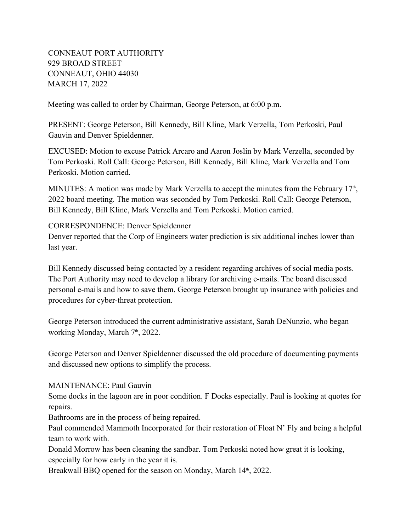CONNEAUT PORT AUTHORITY 929 BROAD STREET CONNEAUT, OHIO 44030 MARCH 17, 2022

Meeting was called to order by Chairman, George Peterson, at 6:00 p.m.

PRESENT: George Peterson, Bill Kennedy, Bill Kline, Mark Verzella, Tom Perkoski, Paul Gauvin and Denver Spieldenner.

EXCUSED: Motion to excuse Patrick Arcaro and Aaron Joslin by Mark Verzella, seconded by Tom Perkoski. Roll Call: George Peterson, Bill Kennedy, Bill Kline, Mark Verzella and Tom Perkoski. Motion carried.

MINUTES: A motion was made by Mark Verzella to accept the minutes from the February  $17<sup>th</sup>$ . , 2022 board meeting. The motion was seconded by Tom Perkoski. Roll Call: George Peterson, Bill Kennedy, Bill Kline, Mark Verzella and Tom Perkoski. Motion carried.

CORRESPONDENCE: Denver Spieldenner

Denver reported that the Corp of Engineers water prediction is six additional inches lower than last year.

Bill Kennedy discussed being contacted by a resident regarding archives of social media posts. The Port Authority may need to develop a library for archiving e-mails. The board discussed personal e-mails and how to save them. George Peterson brought up insurance with policies and procedures for cyber-threat protection.

George Peterson introduced the current administrative assistant, Sarah DeNunzio, who began working Monday, March 7<sup>th</sup>, 2022.

George Peterson and Denver Spieldenner discussed the old procedure of documenting payments and discussed new options to simplify the process.

## MAINTENANCE: Paul Gauvin

Some docks in the lagoon are in poor condition. F Docks especially. Paul is looking at quotes for repairs.

Bathrooms are in the process of being repaired.

Paul commended Mammoth Incorporated for their restoration of Float N' Fly and being a helpful team to work with.

Donald Morrow has been cleaning the sandbar. Tom Perkoski noted how great it is looking, especially for how early in the year it is.

Breakwall BBQ opened for the season on Monday, March 14<sup>th</sup>, 2022.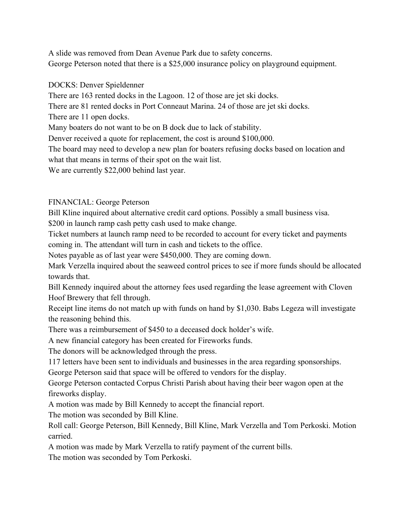A slide was removed from Dean Avenue Park due to safety concerns. George Peterson noted that there is a \$25,000 insurance policy on playground equipment.

DOCKS: Denver Spieldenner

There are 163 rented docks in the Lagoon. 12 of those are jet ski docks.

There are 81 rented docks in Port Conneaut Marina. 24 of those are jet ski docks.

There are 11 open docks.

Many boaters do not want to be on B dock due to lack of stability.

Denver received a quote for replacement, the cost is around \$100,000.

The board may need to develop a new plan for boaters refusing docks based on location and

what that means in terms of their spot on the wait list.

We are currently \$22,000 behind last year.

## FINANCIAL: George Peterson

Bill Kline inquired about alternative credit card options. Possibly a small business visa.

\$200 in launch ramp cash petty cash used to make change.

Ticket numbers at launch ramp need to be recorded to account for every ticket and payments coming in. The attendant will turn in cash and tickets to the office.

Notes payable as of last year were \$450,000. They are coming down.

Mark Verzella inquired about the seaweed control prices to see if more funds should be allocated towards that.

Bill Kennedy inquired about the attorney fees used regarding the lease agreement with Cloven Hoof Brewery that fell through.

Receipt line items do not match up with funds on hand by \$1,030. Babs Legeza will investigate the reasoning behind this.

There was a reimbursement of \$450 to a deceased dock holder's wife.

A new financial category has been created for Fireworks funds.

The donors will be acknowledged through the press.

117 letters have been sent to individuals and businesses in the area regarding sponsorships.

George Peterson said that space will be offered to vendors for the display.

George Peterson contacted Corpus Christi Parish about having their beer wagon open at the fireworks display.

A motion was made by Bill Kennedy to accept the financial report.

The motion was seconded by Bill Kline.

Roll call: George Peterson, Bill Kennedy, Bill Kline, Mark Verzella and Tom Perkoski. Motion carried.

A motion was made by Mark Verzella to ratify payment of the current bills.

The motion was seconded by Tom Perkoski.